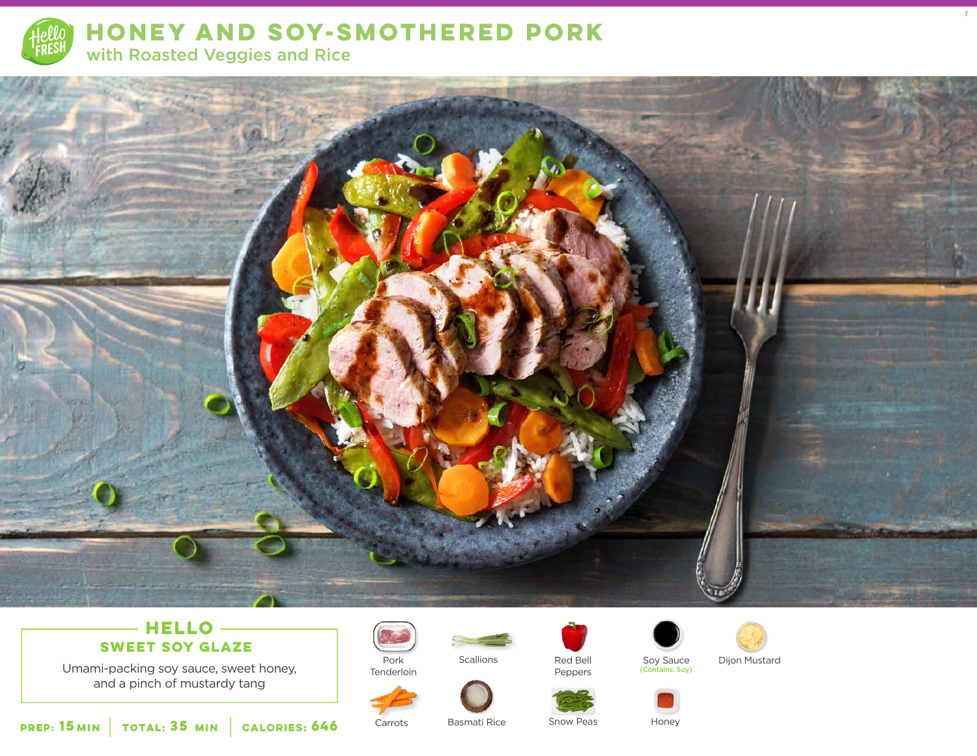

# **HONEY AND SOY-SMOTHERED PORK**  with Roasted Veggies and Rice



## **HELLO SWEET SOY GLAZE**

Umami-packing soy sauce, sweet honey, and a pinch of mustardy tang



Tenderloin

Carrots





Peppers

Soy Sauce (Contains: Soy)



7

Dijon Mustard



**15 35 MIN MIN CALORIES:646**

Basmati Rice Snow Peas Honey

Snow Peas